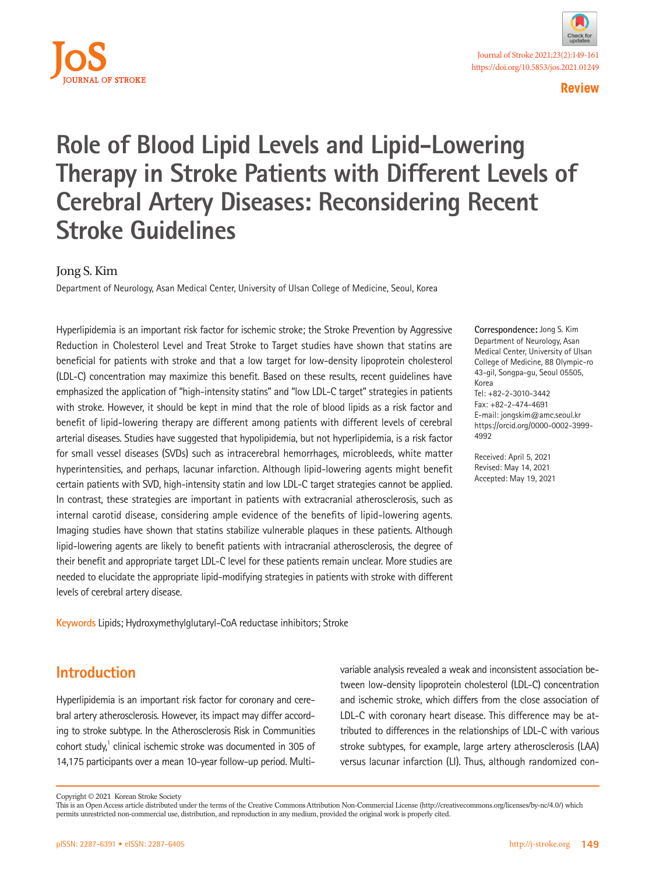

# **Role of Blood Lipid Levels and Lipid-Lowering Therapy in Stroke Patients with Different Levels of Cerebral Artery Diseases: Reconsidering Recent Stroke Guidelines**

## Jong S. Kim

Department of Neurology, Asan Medical Center, University of Ulsan College of Medicine, Seoul, Korea

Hyperlipidemia is an important risk factor for ischemic stroke; the Stroke Prevention by Aggressive Reduction in Cholesterol Level and Treat Stroke to Target studies have shown that statins are beneficial for patients with stroke and that a low target for low-density lipoprotein cholesterol (LDL-C) concentration may maximize this benefit. Based on these results, recent guidelines have emphasized the application of "high-intensity statins" and "low LDL-C target" strategies in patients with stroke. However, it should be kept in mind that the role of blood lipids as a risk factor and benefit of lipid-lowering therapy are different among patients with different levels of cerebral arterial diseases. Studies have suggested that hypolipidemia, but not hyperlipidemia, is a risk factor for small vessel diseases (SVDs) such as intracerebral hemorrhages, microbleeds, white matter hyperintensities, and perhaps, lacunar infarction. Although lipid-lowering agents might benefit certain patients with SVD, high-intensity statin and low LDL-C target strategies cannot be applied. In contrast, these strategies are important in patients with extracranial atherosclerosis, such as internal carotid disease, considering ample evidence of the benefits of lipid-lowering agents. Imaging studies have shown that statins stabilize vulnerable plaques in these patients. Although lipid-lowering agents are likely to benefit patients with intracranial atherosclerosis, the degree of their benefit and appropriate target LDL-C level for these patients remain unclear. More studies are needed to elucidate the appropriate lipid-modifying strategies in patients with stroke with different levels of cerebral artery disease.

**Keywords** Lipids; Hydroxymethylglutaryl-CoA reductase inhibitors; Stroke

# **Introduction**

Hyperlipidemia is an important risk factor for coronary and cerebral artery atherosclerosis. However, its impact may differ according to stroke subtype. In the Atherosclerosis Risk in Communities cohort study,<sup>1</sup> clinical ischemic stroke was documented in 305 of 14,175 participants over a mean 10-year follow-up period. Multivariable analysis revealed a weak and inconsistent association between low-density lipoprotein cholesterol (LDL-C) concentration and ischemic stroke, which differs from the close association of LDL-C with coronary heart disease. This difference may be attributed to differences in the relationships of LDL-C with various stroke subtypes, for example, large artery atherosclerosis (LAA) versus lacunar infarction (LI). Thus, although randomized con-

**Correspondence:** Jong S. Kim Department of Neurology, Asan Medical Center, University of Ulsan College of Medicine, 88 Olympic-ro 43-gil, Songpa-gu, Seoul 05505, Korea Tel: +82-2-3010-3442 Fax: +82-2-474-4691 E-mail: [jongskim@amc.seoul.kr](mailto:jongskim@amc.seoul.kr) https://orcid.org/0000-0002-3999- 4992

Received: April 5, 2021 Revised: May 14, 2021 Accepted: May 19, 2021

Copyright © 2021 Korean Stroke Society

This is an Open Access article distributed under the terms of the Creative Commons Attribution Non-Commercial License (http://creativecommons.org/licenses/by-nc/4.0/) which permits unrestricted non-commercial use, distribution, and reproduction in any medium, provided the original work is properly cited.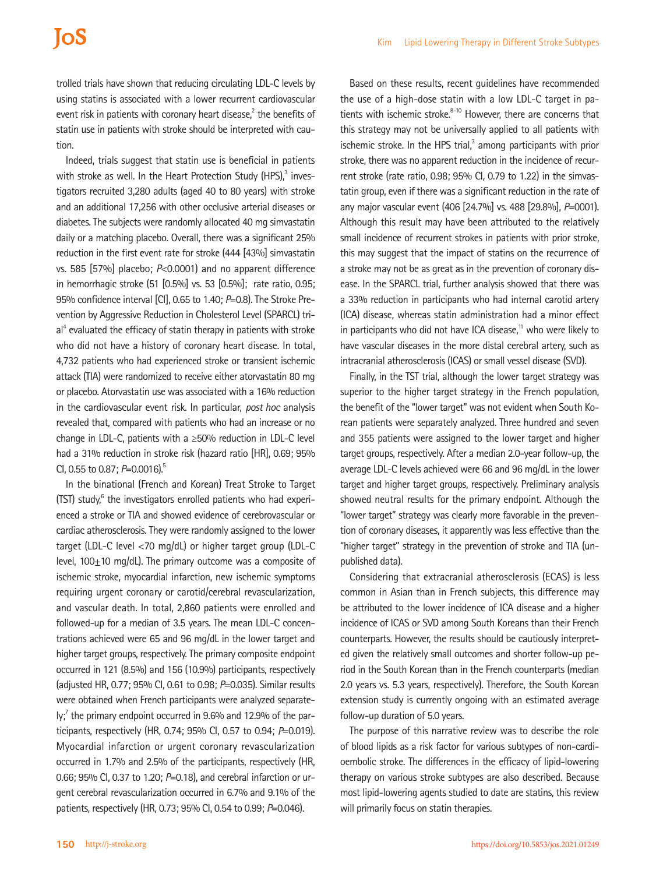# **IoS**

trolled trials have shown that reducing circulating LDL-C levels by using statins is associated with a lower recurrent cardiovascular event risk in patients with coronary heart disease, $2$  the benefits of statin use in patients with stroke should be interpreted with caution.

Indeed, trials suggest that statin use is beneficial in patients with stroke as well. In the Heart Protection Study (HPS), $3$  investigators recruited 3,280 adults (aged 40 to 80 years) with stroke and an additional 17,256 with other occlusive arterial diseases or diabetes. The subjects were randomly allocated 40 mg simvastatin daily or a matching placebo. Overall, there was a significant 25% reduction in the first event rate for stroke (444 [43%] simvastatin vs. 585 [57%] placebo; *P*<0.0001) and no apparent difference in hemorrhagic stroke (51 [0.5%] vs. 53 [0.5%]; rate ratio, 0.95; 95% confidence interval [CI], 0.65 to 1.40; *P*=0.8). The Stroke Prevention by Aggressive Reduction in Cholesterol Level (SPARCL) trial<sup>4</sup> evaluated the efficacy of statin therapy in patients with stroke who did not have a history of coronary heart disease. In total, 4,732 patients who had experienced stroke or transient ischemic attack (TIA) were randomized to receive either atorvastatin 80 mg or placebo. Atorvastatin use was associated with a 16% reduction in the cardiovascular event risk. In particular, *post hoc* analysis revealed that, compared with patients who had an increase or no change in LDL-C, patients with a ≥50% reduction in LDL-C level had a 31% reduction in stroke risk (hazard ratio [HR], 0.69; 95% CI, 0.55 to 0.87; *P*=0.0016).<sup>5</sup>

In the binational (French and Korean) Treat Stroke to Target (TST) study,<sup>6</sup> the investigators enrolled patients who had experienced a stroke or TIA and showed evidence of cerebrovascular or cardiac atherosclerosis. They were randomly assigned to the lower target (LDL-C level <70 mg/dL) or higher target group (LDL-C level,  $100+10$  mg/dL). The primary outcome was a composite of ischemic stroke, myocardial infarction, new ischemic symptoms requiring urgent coronary or carotid/cerebral revascularization, and vascular death. In total, 2,860 patients were enrolled and followed-up for a median of 3.5 years. The mean LDL-C concentrations achieved were 65 and 96 mg/dL in the lower target and higher target groups, respectively. The primary composite endpoint occurred in 121 (8.5%) and 156 (10.9%) participants, respectively (adjusted HR, 0.77; 95% CI, 0.61 to 0.98; *P*=0.035). Similar results were obtained when French participants were analyzed separately;<sup>7</sup> the primary endpoint occurred in 9.6% and 12.9% of the participants, respectively (HR, 0.74; 95% CI, 0.57 to 0.94; *P*=0.019). Myocardial infarction or urgent coronary revascularization occurred in 1.7% and 2.5% of the participants, respectively (HR, 0.66; 95% CI, 0.37 to 1.20; *P*=0.18), and cerebral infarction or urgent cerebral revascularization occurred in 6.7% and 9.1% of the patients, respectively (HR, 0.73; 95% CI, 0.54 to 0.99; *P*=0.046).

Based on these results, recent guidelines have recommended the use of a high-dose statin with a low LDL-C target in patients with ischemic stroke.<sup>8-10</sup> However, there are concerns that this strategy may not be universally applied to all patients with ischemic stroke. In the HPS trial, $3$  among participants with prior stroke, there was no apparent reduction in the incidence of recurrent stroke (rate ratio, 0.98; 95% CI, 0.79 to 1.22) in the simvastatin group, even if there was a significant reduction in the rate of any major vascular event (406 [24.7%] vs. 488 [29.8%], *P*=0001). Although this result may have been attributed to the relatively small incidence of recurrent strokes in patients with prior stroke, this may suggest that the impact of statins on the recurrence of a stroke may not be as great as in the prevention of coronary disease. In the SPARCL trial, further analysis showed that there was a 33% reduction in participants who had internal carotid artery (ICA) disease, whereas statin administration had a minor effect in participants who did not have ICA disease.<sup>11</sup> who were likely to have vascular diseases in the more distal cerebral artery, such as intracranial atherosclerosis (ICAS) or small vessel disease (SVD).

Finally, in the TST trial, although the lower target strategy was superior to the higher target strategy in the French population, the benefit of the "lower target" was not evident when South Korean patients were separately analyzed. Three hundred and seven and 355 patients were assigned to the lower target and higher target groups, respectively. After a median 2.0-year follow-up, the average LDL-C levels achieved were 66 and 96 mg/dL in the lower target and higher target groups, respectively. Preliminary analysis showed neutral results for the primary endpoint. Although the "lower target" strategy was clearly more favorable in the prevention of coronary diseases, it apparently was less effective than the "higher target" strategy in the prevention of stroke and TIA (unpublished data).

Considering that extracranial atherosclerosis (ECAS) is less common in Asian than in French subjects, this difference may be attributed to the lower incidence of ICA disease and a higher incidence of ICAS or SVD among South Koreans than their French counterparts. However, the results should be cautiously interpreted given the relatively small outcomes and shorter follow-up period in the South Korean than in the French counterparts (median 2.0 years vs. 5.3 years, respectively). Therefore, the South Korean extension study is currently ongoing with an estimated average follow-up duration of 5.0 years.

The purpose of this narrative review was to describe the role of blood lipids as a risk factor for various subtypes of non-cardioembolic stroke. The differences in the efficacy of lipid-lowering therapy on various stroke subtypes are also described. Because most lipid-lowering agents studied to date are statins, this review will primarily focus on statin therapies.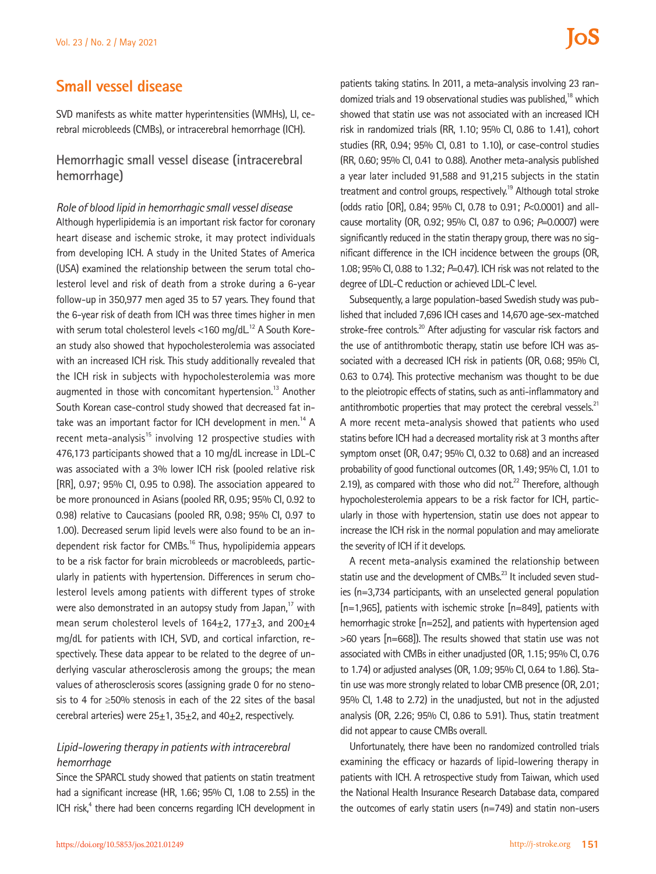## **Small vessel disease**

SVD manifests as white matter hyperintensities (WMHs), LI, cerebral microbleeds (CMBs), or intracerebral hemorrhage (ICH).

## **Hemorrhagic small vessel disease (intracerebral hemorrhage)**

*Role of blood lipid in hemorrhagic small vessel disease*  Although hyperlipidemia is an important risk factor for coronary heart disease and ischemic stroke, it may protect individuals from developing ICH. A study in the United States of America (USA) examined the relationship between the serum total cholesterol level and risk of death from a stroke during a 6-year follow-up in 350,977 men aged 35 to 57 years. They found that the 6-year risk of death from ICH was three times higher in men with serum total cholesterol levels  $<$ 160 mg/dL $<sup>12</sup>$  A South Kore-</sup> an study also showed that hypocholesterolemia was associated with an increased ICH risk. This study additionally revealed that the ICH risk in subjects with hypocholesterolemia was more augmented in those with concomitant hypertension.<sup>13</sup> Another South Korean case-control study showed that decreased fat intake was an important factor for ICH development in men.<sup>14</sup> A recent meta-analysis $15$  involving 12 prospective studies with 476,173 participants showed that a 10 mg/dL increase in LDL-C was associated with a 3% lower ICH risk (pooled relative risk [RR], 0.97; 95% CI, 0.95 to 0.98). The association appeared to be more pronounced in Asians (pooled RR, 0.95; 95% CI, 0.92 to 0.98) relative to Caucasians (pooled RR, 0.98; 95% CI, 0.97 to 1.00). Decreased serum lipid levels were also found to be an independent risk factor for CMBs.<sup>16</sup> Thus, hypolipidemia appears to be a risk factor for brain microbleeds or macrobleeds, particularly in patients with hypertension. Differences in serum cholesterol levels among patients with different types of stroke were also demonstrated in an autopsy study from Japan, $17$  with mean serum cholesterol levels of 164+2, 177+3, and 200+4 mg/dL for patients with ICH, SVD, and cortical infarction, respectively. These data appear to be related to the degree of underlying vascular atherosclerosis among the groups; the mean values of atherosclerosis scores (assigning grade 0 for no stenosis to 4 for ≥50% stenosis in each of the 22 sites of the basal cerebral arteries) were  $25 \pm 1$ ,  $35 \pm 2$ , and  $40 \pm 2$ , respectively.

## *Lipid-lowering therapy in patients with intracerebral hemorrhage*

Since the SPARCL study showed that patients on statin treatment had a significant increase (HR, 1.66; 95% CI, 1.08 to 2.55) in the ICH risk,<sup>4</sup> there had been concerns regarding ICH development in

patients taking statins. In 2011, a meta-analysis involving 23 randomized trials and 19 observational studies was published,<sup>18</sup> which showed that statin use was not associated with an increased ICH risk in randomized trials (RR, 1.10; 95% CI, 0.86 to 1.41), cohort studies (RR, 0.94; 95% CI, 0.81 to 1.10), or case-control studies (RR, 0.60; 95% CI, 0.41 to 0.88). Another meta-analysis published a year later included 91,588 and 91,215 subjects in the statin treatment and control groups, respectively.<sup>19</sup> Although total stroke (odds ratio [OR], 0.84; 95% CI, 0.78 to 0.91; *P*<0.0001) and allcause mortality (OR, 0.92; 95% CI, 0.87 to 0.96; *P*=0.0007) were significantly reduced in the statin therapy group, there was no significant difference in the ICH incidence between the groups (OR, 1.08; 95% CI, 0.88 to 1.32; *P*=0.47). ICH risk was not related to the degree of LDL-C reduction or achieved LDL-C level.

Subsequently, a large population-based Swedish study was published that included 7,696 ICH cases and 14,670 age-sex-matched stroke-free controls.<sup>20</sup> After adjusting for vascular risk factors and the use of antithrombotic therapy, statin use before ICH was associated with a decreased ICH risk in patients (OR, 0.68; 95% CI, 0.63 to 0.74). This protective mechanism was thought to be due to the pleiotropic effects of statins, such as anti-inflammatory and antithrombotic properties that may protect the cerebral vessels. $^{21}$ A more recent meta-analysis showed that patients who used statins before ICH had a decreased mortality risk at 3 months after symptom onset (OR, 0.47; 95% CI, 0.32 to 0.68) and an increased probability of good functional outcomes (OR, 1.49; 95% CI, 1.01 to 2.19), as compared with those who did not. $^{22}$  Therefore, although hypocholesterolemia appears to be a risk factor for ICH, particularly in those with hypertension, statin use does not appear to increase the ICH risk in the normal population and may ameliorate the severity of ICH if it develops.

A recent meta-analysis examined the relationship between statin use and the development of CMBs.<sup>23</sup> It included seven studies (n=3,734 participants, with an unselected general population [n=1,965], patients with ischemic stroke [n=849], patients with hemorrhagic stroke [n=252], and patients with hypertension aged >60 years [n=668]). The results showed that statin use was not associated with CMBs in either unadjusted (OR, 1.15; 95% CI, 0.76 to 1.74) or adjusted analyses (OR, 1.09; 95% CI, 0.64 to 1.86). Statin use was more strongly related to lobar CMB presence (OR, 2.01; 95% CI, 1.48 to 2.72) in the unadjusted, but not in the adjusted analysis (OR, 2.26; 95% CI, 0.86 to 5.91). Thus, statin treatment did not appear to cause CMBs overall.

Unfortunately, there have been no randomized controlled trials examining the efficacy or hazards of lipid-lowering therapy in patients with ICH. A retrospective study from Taiwan, which used the National Health Insurance Research Database data, compared the outcomes of early statin users (n=749) and statin non-users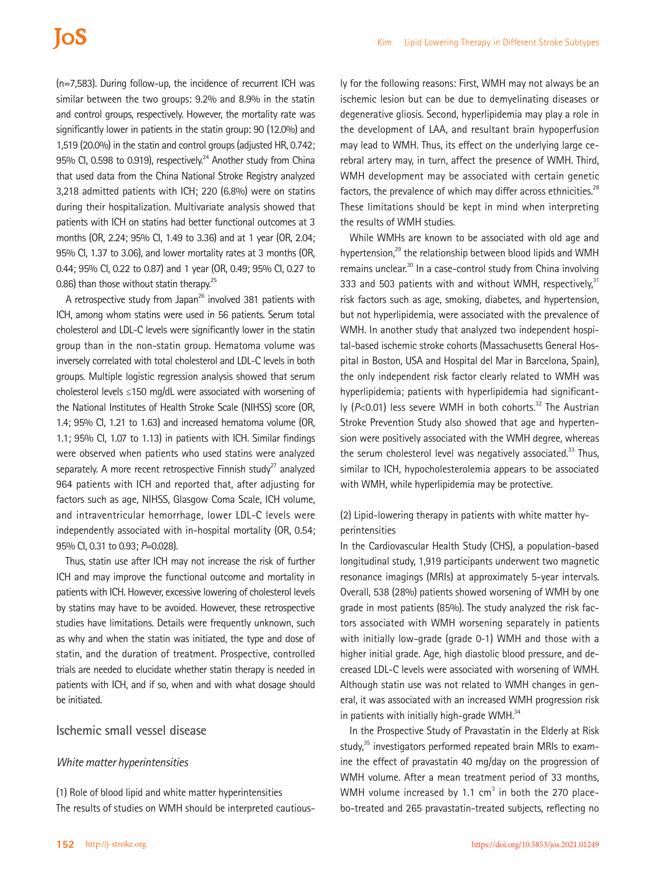(n=7,583). During follow-up, the incidence of recurrent ICH was similar between the two groups: 9.2% and 8.9% in the statin and control groups, respectively. However, the mortality rate was significantly lower in patients in the statin group: 90 (12.0%) and 1,519 (20.0%) in the statin and control groups (adjusted HR, 0.742; 95% CI, 0.598 to 0.919), respectively.<sup>24</sup> Another study from China that used data from the China National Stroke Registry analyzed 3,218 admitted patients with ICH; 220 (6.8%) were on statins during their hospitalization. Multivariate analysis showed that patients with ICH on statins had better functional outcomes at 3 months (OR, 2.24; 95% CI, 1.49 to 3.36) and at 1 year (OR, 2.04; 95% CI, 1.37 to 3.06), and lower mortality rates at 3 months (OR, 0.44; 95% CI, 0.22 to 0.87) and 1 year (OR, 0.49; 95% CI, 0.27 to 0.86) than those without statin therapy. $25$ 

A retrospective study from Japan<sup>26</sup> involved 381 patients with ICH, among whom statins were used in 56 patients. Serum total cholesterol and LDL-C levels were significantly lower in the statin group than in the non-statin group. Hematoma volume was inversely correlated with total cholesterol and LDL-C levels in both groups. Multiple logistic regression analysis showed that serum cholesterol levels ≤150 mg/dL were associated with worsening of the National Institutes of Health Stroke Scale (NIHSS) score (OR, 1.4; 95% CI, 1.21 to 1.63) and increased hematoma volume (OR, 1.1; 95% CI, 1.07 to 1.13) in patients with ICH. Similar findings were observed when patients who used statins were analyzed separately. A more recent retrospective Finnish study<sup>27</sup> analyzed 964 patients with ICH and reported that, after adjusting for factors such as age, NIHSS, Glasgow Coma Scale, ICH volume, and intraventricular hemorrhage, lower LDL-C levels were independently associated with in-hospital mortality (OR, 0.54; 95% CI, 0.31 to 0.93; *P*=0.028).

Thus, statin use after ICH may not increase the risk of further ICH and may improve the functional outcome and mortality in patients with ICH. However, excessive lowering of cholesterol levels by statins may have to be avoided. However, these retrospective studies have limitations. Details were frequently unknown, such as why and when the statin was initiated, the type and dose of statin, and the duration of treatment. Prospective, controlled trials are needed to elucidate whether statin therapy is needed in patients with ICH, and if so, when and with what dosage should be initiated.

## **Ischemic small vessel disease**

#### *White matter hyperintensities*

(1) Role of blood lipid and white matter hyperintensities The results of studies on WMH should be interpreted cautious-

ly for the following reasons: First, WMH may not always be an ischemic lesion but can be due to demyelinating diseases or degenerative gliosis. Second, hyperlipidemia may play a role in the development of LAA, and resultant brain hypoperfusion may lead to WMH. Thus, its effect on the underlying large cerebral artery may, in turn, affect the presence of WMH. Third, WMH development may be associated with certain genetic factors, the prevalence of which may differ across ethnicities.<sup>28</sup> These limitations should be kept in mind when interpreting the results of WMH studies.

While WMHs are known to be associated with old age and hypertension,<sup>29</sup> the relationship between blood lipids and WMH remains unclear.<sup>30</sup> In a case-control study from China involving 333 and 503 patients with and without WMH, respectively, $31$ risk factors such as age, smoking, diabetes, and hypertension, but not hyperlipidemia, were associated with the prevalence of WMH. In another study that analyzed two independent hospital-based ischemic stroke cohorts (Massachusetts General Hospital in Boston, USA and Hospital del Mar in Barcelona, Spain), the only independent risk factor clearly related to WMH was hyperlipidemia; patients with hyperlipidemia had significantly (P<0.01) less severe WMH in both cohorts.<sup>32</sup> The Austrian Stroke Prevention Study also showed that age and hypertension were positively associated with the WMH degree, whereas the serum cholesterol level was negatively associated. $33$  Thus, similar to ICH, hypocholesterolemia appears to be associated with WMH, while hyperlipidemia may be protective.

## (2) Lipid-lowering therapy in patients with white matter hyperintensities

In the Cardiovascular Health Study (CHS), a population-based longitudinal study, 1,919 participants underwent two magnetic resonance imagings (MRIs) at approximately 5-year intervals. Overall, 538 (28%) patients showed worsening of WMH by one grade in most patients (85%). The study analyzed the risk factors associated with WMH worsening separately in patients with initially low-grade (grade 0-1) WMH and those with a higher initial grade. Age, high diastolic blood pressure, and decreased LDL-C levels were associated with worsening of WMH. Although statin use was not related to WMH changes in general, it was associated with an increased WMH progression risk in patients with initially high-grade WMH.<sup>34</sup>

In the Prospective Study of Pravastatin in the Elderly at Risk study,<sup>35</sup> investigators performed repeated brain MRIs to examine the effect of pravastatin 40 mg/day on the progression of WMH volume. After a mean treatment period of 33 months, WMH volume increased by 1.1  $cm<sup>3</sup>$  in both the 270 placebo-treated and 265 pravastatin-treated subjects, reflecting no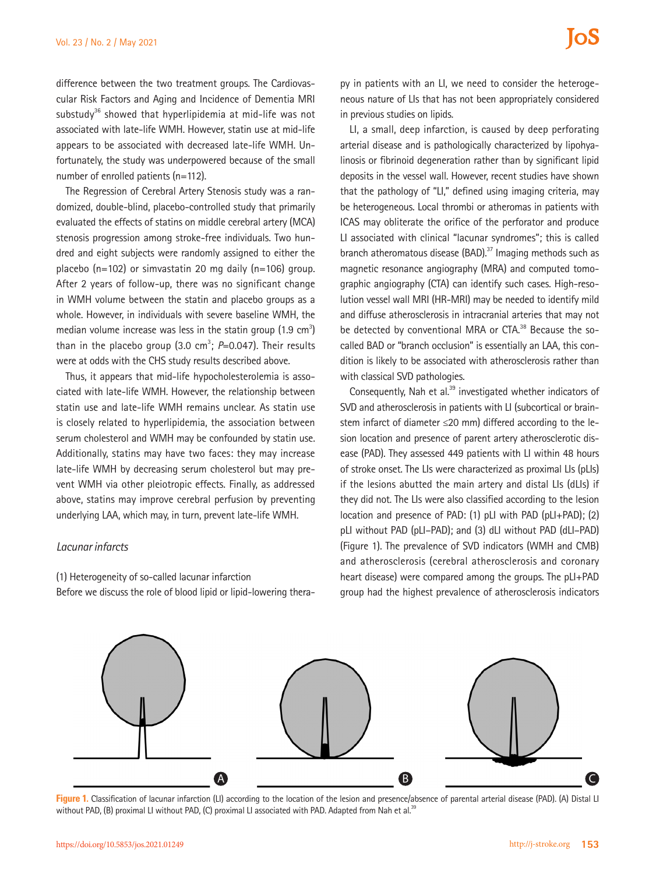difference between the two treatment groups. The Cardiovascular Risk Factors and Aging and Incidence of Dementia MRI substudy<sup>36</sup> showed that hyperlipidemia at mid-life was not associated with late-life WMH. However, statin use at mid-life appears to be associated with decreased late-life WMH. Unfortunately, the study was underpowered because of the small number of enrolled patients (n=112).

The Regression of Cerebral Artery Stenosis study was a randomized, double-blind, placebo-controlled study that primarily evaluated the effects of statins on middle cerebral artery (MCA) stenosis progression among stroke-free individuals. Two hundred and eight subjects were randomly assigned to either the placebo (n=102) or simvastatin 20 mg daily (n=106) group. After 2 years of follow-up, there was no significant change in WMH volume between the statin and placebo groups as a whole. However, in individuals with severe baseline WMH, the median volume increase was less in the statin group  $(1.9 \text{ cm}^3)$ than in the placebo group  $(3.0 \text{ cm}^3; P=0.047)$ . Their results were at odds with the CHS study results described above.

Thus, it appears that mid-life hypocholesterolemia is associated with late-life WMH. However, the relationship between statin use and late-life WMH remains unclear. As statin use is closely related to hyperlipidemia, the association between serum cholesterol and WMH may be confounded by statin use. Additionally, statins may have two faces: they may increase late-life WMH by decreasing serum cholesterol but may prevent WMH via other pleiotropic effects. Finally, as addressed above, statins may improve cerebral perfusion by preventing underlying LAA, which may, in turn, prevent late-life WMH.

#### *Lacunar infarcts*

(1) Heterogeneity of so-called lacunar infarction

Before we discuss the role of blood lipid or lipid-lowering thera-

py in patients with an LI, we need to consider the heterogeneous nature of LIs that has not been appropriately considered in previous studies on lipids.

LI, a small, deep infarction, is caused by deep perforating arterial disease and is pathologically characterized by lipohyalinosis or fibrinoid degeneration rather than by significant lipid deposits in the vessel wall. However, recent studies have shown that the pathology of "LI," defined using imaging criteria, may be heterogeneous. Local thrombi or atheromas in patients with ICAS may obliterate the orifice of the perforator and produce LI associated with clinical "lacunar syndromes"; this is called branch atheromatous disease  $(BAD)$ <sup>37</sup> Imaging methods such as magnetic resonance angiography (MRA) and computed tomographic angiography (CTA) can identify such cases. High-resolution vessel wall MRI (HR-MRI) may be needed to identify mild and diffuse atherosclerosis in intracranial arteries that may not be detected by conventional MRA or CTA.<sup>38</sup> Because the socalled BAD or "branch occlusion" is essentially an LAA, this condition is likely to be associated with atherosclerosis rather than with classical SVD pathologies.

Consequently, Nah et al.<sup>39</sup> investigated whether indicators of SVD and atherosclerosis in patients with LI (subcortical or brainstem infarct of diameter ≤20 mm) differed according to the lesion location and presence of parent artery atherosclerotic disease (PAD). They assessed 449 patients with LI within 48 hours of stroke onset. The LIs were characterized as proximal LIs (pLIs) if the lesions abutted the main artery and distal LIs (dLIs) if they did not. The LIs were also classified according to the lesion location and presence of PAD: (1) pLI with PAD (pLI+PAD); (2) pLI without PAD (pLI–PAD); and (3) dLI without PAD (dLI–PAD) (Figure 1). The prevalence of SVD indicators (WMH and CMB) and atherosclerosis (cerebral atherosclerosis and coronary heart disease) were compared among the groups. The pLI+PAD group had the highest prevalence of atherosclerosis indicators



**Figure 1.** Classification of lacunar infarction (LI) according to the location of the lesion and presence/absence of parental arterial disease (PAD). (A) Distal LI without PAD, (B) proximal LI without PAD, (C) proximal LI associated with PAD. Adapted from Nah et al.<sup>3</sup>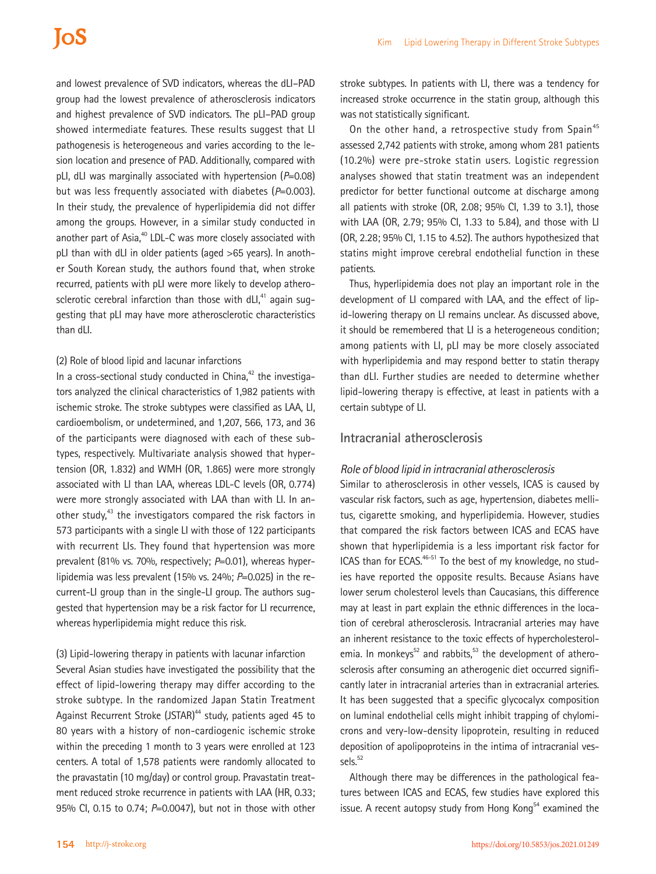and lowest prevalence of SVD indicators, whereas the dLI–PAD group had the lowest prevalence of atherosclerosis indicators and highest prevalence of SVD indicators. The pLI–PAD group showed intermediate features. These results suggest that LI pathogenesis is heterogeneous and varies according to the lesion location and presence of PAD. Additionally, compared with pLI, dLI was marginally associated with hypertension (*P*=0.08) but was less frequently associated with diabetes (P=0.003). In their study, the prevalence of hyperlipidemia did not differ among the groups. However, in a similar study conducted in another part of Asia.<sup>40</sup> LDL-C was more closely associated with pLI than with dLI in older patients (aged >65 years). In another South Korean study, the authors found that, when stroke recurred, patients with pLI were more likely to develop atherosclerotic cerebral infarction than those with  $dLI<sub>1</sub><sup>41</sup>$  again suggesting that pLI may have more atherosclerotic characteristics than dLI.

#### (2) Role of blood lipid and lacunar infarctions

In a cross-sectional study conducted in China, $42$  the investigators analyzed the clinical characteristics of 1,982 patients with ischemic stroke. The stroke subtypes were classified as LAA, LI, cardioembolism, or undetermined, and 1,207, 566, 173, and 36 of the participants were diagnosed with each of these subtypes, respectively. Multivariate analysis showed that hypertension (OR, 1.832) and WMH (OR, 1.865) were more strongly associated with LI than LAA, whereas LDL-C levels (OR, 0.774) were more strongly associated with LAA than with LI. In another study, $43$  the investigators compared the risk factors in 573 participants with a single LI with those of 122 participants with recurrent LIs. They found that hypertension was more prevalent (81% vs. 70%, respectively; *P*=0.01), whereas hyperlipidemia was less prevalent (15% vs. 24%; *P*=0.025) in the recurrent-LI group than in the single-LI group. The authors suggested that hypertension may be a risk factor for LI recurrence, whereas hyperlipidemia might reduce this risk.

(3) Lipid-lowering therapy in patients with lacunar infarction Several Asian studies have investigated the possibility that the effect of lipid-lowering therapy may differ according to the stroke subtype. In the randomized Japan Statin Treatment Against Recurrent Stroke (JSTAR)<sup>44</sup> study, patients aged 45 to 80 years with a history of non-cardiogenic ischemic stroke within the preceding 1 month to 3 years were enrolled at 123 centers. A total of 1,578 patients were randomly allocated to the pravastatin (10 mg/day) or control group. Pravastatin treatment reduced stroke recurrence in patients with LAA (HR, 0.33; 95% CI, 0.15 to 0.74; *P*=0.0047), but not in those with other

stroke subtypes. In patients with LI, there was a tendency for increased stroke occurrence in the statin group, although this was not statistically significant.

On the other hand, a retrospective study from Spain<sup>45</sup> assessed 2,742 patients with stroke, among whom 281 patients (10.2%) were pre-stroke statin users. Logistic regression analyses showed that statin treatment was an independent predictor for better functional outcome at discharge among all patients with stroke (OR, 2.08; 95% CI, 1.39 to 3.1), those with LAA (OR, 2.79; 95% CI, 1.33 to 5.84), and those with LI (OR, 2.28; 95% CI, 1.15 to 4.52). The authors hypothesized that statins might improve cerebral endothelial function in these patients.

Thus, hyperlipidemia does not play an important role in the development of LI compared with LAA, and the effect of lipid-lowering therapy on LI remains unclear. As discussed above, it should be remembered that LI is a heterogeneous condition; among patients with LI, pLI may be more closely associated with hyperlipidemia and may respond better to statin therapy than dLI. Further studies are needed to determine whether lipid-lowering therapy is effective, at least in patients with a certain subtype of LI.

### **Intracranial atherosclerosis**

#### *Role of blood lipid in intracranial atherosclerosis*

Similar to atherosclerosis in other vessels, ICAS is caused by vascular risk factors, such as age, hypertension, diabetes mellitus, cigarette smoking, and hyperlipidemia. However, studies that compared the risk factors between ICAS and ECAS have shown that hyperlipidemia is a less important risk factor for ICAS than for ECAS.<sup>46-51</sup> To the best of my knowledge, no studies have reported the opposite results. Because Asians have lower serum cholesterol levels than Caucasians, this difference may at least in part explain the ethnic differences in the location of cerebral atherosclerosis. Intracranial arteries may have an inherent resistance to the toxic effects of hypercholesterolemia. In monkeys<sup>52</sup> and rabbits,<sup>53</sup> the development of atherosclerosis after consuming an atherogenic diet occurred significantly later in intracranial arteries than in extracranial arteries. It has been suggested that a specific glycocalyx composition on luminal endothelial cells might inhibit trapping of chylomicrons and very-low-density lipoprotein, resulting in reduced deposition of apolipoproteins in the intima of intracranial vessels.<sup>52</sup>

Although there may be differences in the pathological features between ICAS and ECAS, few studies have explored this issue. A recent autopsy study from Hong Kong<sup>54</sup> examined the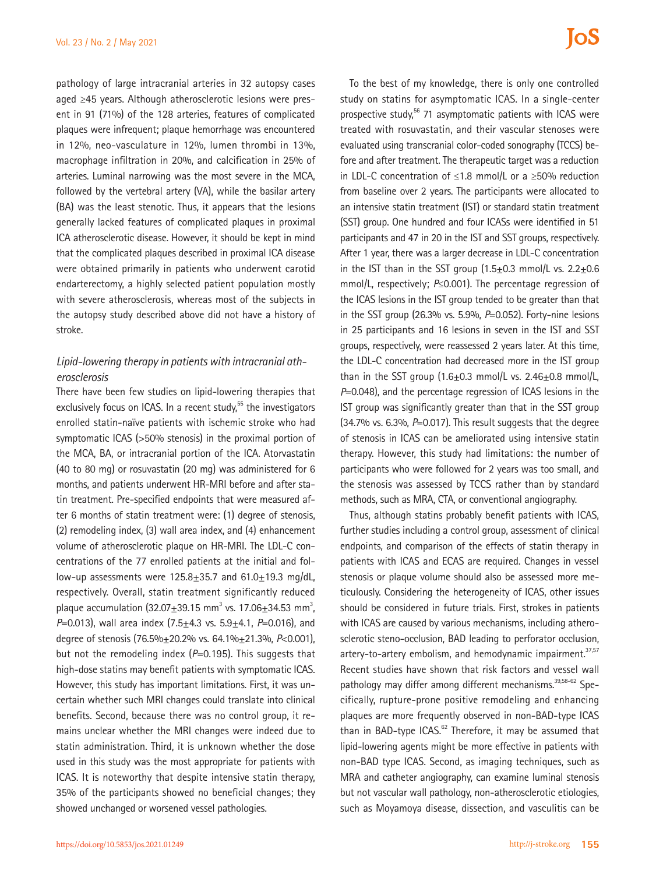pathology of large intracranial arteries in 32 autopsy cases aged ≥45 years. Although atherosclerotic lesions were present in 91 (71%) of the 128 arteries, features of complicated plaques were infrequent; plaque hemorrhage was encountered in 12%, neo-vasculature in 12%, lumen thrombi in 13%, macrophage infiltration in 20%, and calcification in 25% of arteries. Luminal narrowing was the most severe in the MCA, followed by the vertebral artery (VA), while the basilar artery (BA) was the least stenotic. Thus, it appears that the lesions generally lacked features of complicated plaques in proximal ICA atherosclerotic disease. However, it should be kept in mind that the complicated plaques described in proximal ICA disease were obtained primarily in patients who underwent carotid endarterectomy, a highly selected patient population mostly with severe atherosclerosis, whereas most of the subjects in the autopsy study described above did not have a history of stroke.

## *Lipid-lowering therapy in patients with intracranial atherosclerosis*

There have been few studies on lipid-lowering therapies that exclusively focus on ICAS. In a recent study, $55$  the investigators enrolled statin-naïve patients with ischemic stroke who had symptomatic ICAS (>50% stenosis) in the proximal portion of the MCA, BA, or intracranial portion of the ICA. Atorvastatin (40 to 80 mg) or rosuvastatin (20 mg) was administered for 6 months, and patients underwent HR-MRI before and after statin treatment. Pre-specified endpoints that were measured after 6 months of statin treatment were: (1) degree of stenosis, (2) remodeling index, (3) wall area index, and (4) enhancement volume of atherosclerotic plaque on HR-MRI. The LDL-C concentrations of the 77 enrolled patients at the initial and follow-up assessments were  $125.8 \pm 35.7$  and  $61.0 \pm 19.3$  mg/dL, respectively. Overall, statin treatment significantly reduced plaque accumulation  $(32.07 \pm 39.15 \text{ mm}^3 \text{ vs. } 17.06 \pm 34.53 \text{ mm}^3)$ , *P*=0.013), wall area index (7.5±4.3 vs. 5.9±4.1, *P*=0.016), and degree of stenosis (76.5%±20.2% vs. 64.1%±21.3%, *P*<0.001), but not the remodeling index (P=0.195). This suggests that high-dose statins may benefit patients with symptomatic ICAS. However, this study has important limitations. First, it was uncertain whether such MRI changes could translate into clinical benefits. Second, because there was no control group, it remains unclear whether the MRI changes were indeed due to statin administration. Third, it is unknown whether the dose used in this study was the most appropriate for patients with ICAS. It is noteworthy that despite intensive statin therapy, 35% of the participants showed no beneficial changes; they showed unchanged or worsened vessel pathologies.

To the best of my knowledge, there is only one controlled study on statins for asymptomatic ICAS. In a single-center prospective study, $56$  71 asymptomatic patients with ICAS were treated with rosuvastatin, and their vascular stenoses were evaluated using transcranial color-coded sonography (TCCS) before and after treatment. The therapeutic target was a reduction in LDL-C concentration of ≤1.8 mmol/L or a ≥50% reduction from baseline over 2 years. The participants were allocated to an intensive statin treatment (IST) or standard statin treatment (SST) group. One hundred and four ICASs were identified in 51 participants and 47 in 20 in the IST and SST groups, respectively. After 1 year, there was a larger decrease in LDL-C concentration in the IST than in the SST group  $(1.5\pm0.3 \text{ mmol/L vs. } 2.2\pm0.6 \text{ m}$ mmol/L, respectively; *P*≤0.001). The percentage regression of the ICAS lesions in the IST group tended to be greater than that in the SST group (26.3% vs. 5.9%, *P*=0.052). Forty-nine lesions in 25 participants and 16 lesions in seven in the IST and SST groups, respectively, were reassessed 2 years later. At this time, the LDL-C concentration had decreased more in the IST group than in the SST group  $(1.6\pm0.3 \text{ mmol/L vs. } 2.46\pm0.8 \text{ mmol/L}$ *P*=0.048), and the percentage regression of ICAS lesions in the IST group was significantly greater than that in the SST group (34.7% vs*.* 6.3%, *P*=0.017). This result suggests that the degree of stenosis in ICAS can be ameliorated using intensive statin therapy. However, this study had limitations: the number of participants who were followed for 2 years was too small, and the stenosis was assessed by TCCS rather than by standard methods, such as MRA, CTA, or conventional angiography.

Thus, although statins probably benefit patients with ICAS, further studies including a control group, assessment of clinical endpoints, and comparison of the effects of statin therapy in patients with ICAS and ECAS are required. Changes in vessel stenosis or plaque volume should also be assessed more meticulously. Considering the heterogeneity of ICAS, other issues should be considered in future trials. First, strokes in patients with ICAS are caused by various mechanisms, including atherosclerotic steno-occlusion, BAD leading to perforator occlusion, artery-to-artery embolism, and hemodynamic impairment.<sup>37,57</sup> Recent studies have shown that risk factors and vessel wall pathology may differ among different mechanisms.<sup>39,58-62</sup> Specifically, rupture-prone positive remodeling and enhancing plaques are more frequently observed in non-BAD-type ICAS than in BAD-type ICAS. $62$  Therefore, it may be assumed that lipid-lowering agents might be more effective in patients with non-BAD type ICAS. Second, as imaging techniques, such as MRA and catheter angiography, can examine luminal stenosis but not vascular wall pathology, non-atherosclerotic etiologies, such as Moyamoya disease, dissection, and vasculitis can be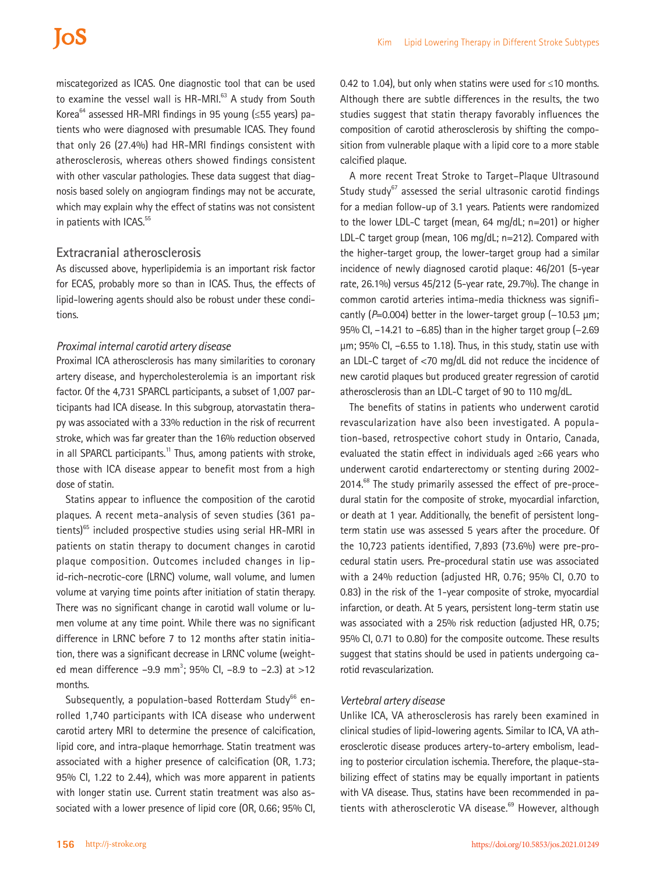# **IoS**

miscategorized as ICAS. One diagnostic tool that can be used to examine the vessel wall is HR-MRI.<sup>63</sup> A study from South Korea $^{64}$  assessed HR-MRI findings in 95 young (≤55 years) patients who were diagnosed with presumable ICAS. They found that only 26 (27.4%) had HR-MRI findings consistent with atherosclerosis, whereas others showed findings consistent with other vascular pathologies. These data suggest that diagnosis based solely on angiogram findings may not be accurate, which may explain why the effect of statins was not consistent in patients with ICAS.<sup>55</sup>

### **Extracranial atherosclerosis**

As discussed above, hyperlipidemia is an important risk factor for ECAS, probably more so than in ICAS. Thus, the effects of lipid-lowering agents should also be robust under these conditions.

#### *Proximal internal carotid artery disease*

Proximal ICA atherosclerosis has many similarities to coronary artery disease, and hypercholesterolemia is an important risk factor. Of the 4,731 SPARCL participants, a subset of 1,007 participants had ICA disease. In this subgroup, atorvastatin therapy was associated with a 33% reduction in the risk of recurrent stroke, which was far greater than the 16% reduction observed in all SPARCL participants.<sup>11</sup> Thus, among patients with stroke, those with ICA disease appear to benefit most from a high dose of statin.

Statins appear to influence the composition of the carotid plaques. A recent meta-analysis of seven studies (361 patients)<sup>65</sup> included prospective studies using serial HR-MRI in patients on statin therapy to document changes in carotid plaque composition. Outcomes included changes in lipid-rich-necrotic-core (LRNC) volume, wall volume, and lumen volume at varying time points after initiation of statin therapy. There was no significant change in carotid wall volume or lumen volume at any time point. While there was no significant difference in LRNC before 7 to 12 months after statin initiation, there was a significant decrease in LRNC volume (weighted mean difference  $-9.9$  mm<sup>3</sup>; 95% Cl,  $-8.9$  to  $-2.3$ ) at  $>12$ months.

Subsequently, a population-based Rotterdam Study<sup>66</sup> enrolled 1,740 participants with ICA disease who underwent carotid artery MRI to determine the presence of calcification, lipid core, and intra-plaque hemorrhage. Statin treatment was associated with a higher presence of calcification (OR, 1.73; 95% CI, 1.22 to 2.44), which was more apparent in patients with longer statin use. Current statin treatment was also associated with a lower presence of lipid core (OR, 0.66; 95% CI, 0.42 to 1.04), but only when statins were used for ≤10 months. Although there are subtle differences in the results, the two studies suggest that statin therapy favorably influences the composition of carotid atherosclerosis by shifting the composition from vulnerable plaque with a lipid core to a more stable calcified plaque.

A more recent Treat Stroke to Target–Plaque Ultrasound Study study $67$  assessed the serial ultrasonic carotid findings for a median follow-up of 3.1 years. Patients were randomized to the lower LDL-C target (mean, 64 mg/dL; n=201) or higher LDL-C target group (mean, 106 mg/dL; n=212). Compared with the higher-target group, the lower-target group had a similar incidence of newly diagnosed carotid plaque: 46/201 (5-year rate, 26.1%) versus 45/212 (5-year rate, 29.7%). The change in common carotid arteries intima-media thickness was significantly ( $P=0.004$ ) better in the lower-target group (-10.53 µm; 95% CI, –14.21 to –6.85) than in the higher target group (−2.69 µm; 95% CI, –6.55 to 1.18). Thus, in this study, statin use with an LDL-C target of <70 mg/dL did not reduce the incidence of new carotid plaques but produced greater regression of carotid atherosclerosis than an LDL-C target of 90 to 110 mg/dL.

The benefits of statins in patients who underwent carotid revascularization have also been investigated. A population-based, retrospective cohort study in Ontario, Canada, evaluated the statin effect in individuals aged ≥66 years who underwent carotid endarterectomy or stenting during 2002- 2014.<sup>68</sup> The study primarily assessed the effect of pre-procedural statin for the composite of stroke, myocardial infarction, or death at 1 year. Additionally, the benefit of persistent longterm statin use was assessed 5 years after the procedure. Of the 10,723 patients identified, 7,893 (73.6%) were pre-procedural statin users. Pre-procedural statin use was associated with a 24% reduction (adjusted HR, 0.76; 95% CI, 0.70 to 0.83) in the risk of the 1-year composite of stroke, myocardial infarction, or death. At 5 years, persistent long-term statin use was associated with a 25% risk reduction (adjusted HR, 0.75; 95% CI, 0.71 to 0.80) for the composite outcome. These results suggest that statins should be used in patients undergoing carotid revascularization.

#### *Vertebral artery disease*

Unlike ICA, VA atherosclerosis has rarely been examined in clinical studies of lipid-lowering agents. Similar to ICA, VA atherosclerotic disease produces artery-to-artery embolism, leading to posterior circulation ischemia. Therefore, the plaque-stabilizing effect of statins may be equally important in patients with VA disease. Thus, statins have been recommended in patients with atherosclerotic VA disease.<sup>69</sup> However, although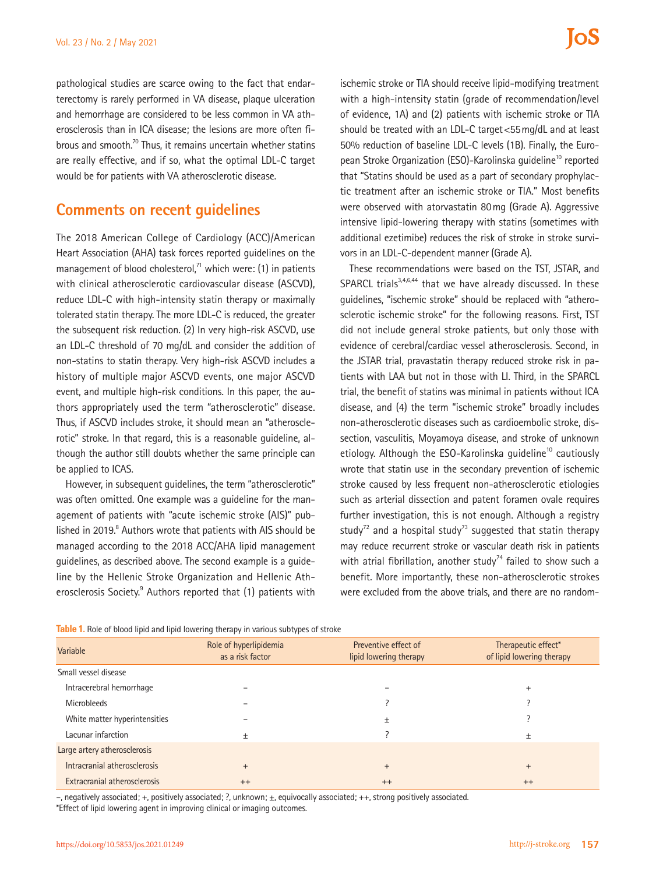pathological studies are scarce owing to the fact that endarterectomy is rarely performed in VA disease, plaque ulceration and hemorrhage are considered to be less common in VA atherosclerosis than in ICA disease; the lesions are more often fibrous and smooth.<sup>70</sup> Thus, it remains uncertain whether statins are really effective, and if so, what the optimal LDL-C target would be for patients with VA atherosclerotic disease.

# **Comments on recent guidelines**

The 2018 American College of Cardiology (ACC)/American Heart Association (AHA) task forces reported guidelines on the management of blood cholesterol, $71$  which were: (1) in patients with clinical atherosclerotic cardiovascular disease (ASCVD), reduce LDL-C with high-intensity statin therapy or maximally tolerated statin therapy. The more LDL-C is reduced, the greater the subsequent risk reduction. (2) In very high-risk ASCVD, use an LDL-C threshold of 70 mg/dL and consider the addition of non-statins to statin therapy. Very high-risk ASCVD includes a history of multiple major ASCVD events, one major ASCVD event, and multiple high-risk conditions. In this paper, the authors appropriately used the term "atherosclerotic" disease. Thus, if ASCVD includes stroke, it should mean an "atherosclerotic" stroke. In that regard, this is a reasonable guideline, although the author still doubts whether the same principle can be applied to ICAS.

However, in subsequent guidelines, the term "atherosclerotic" was often omitted. One example was a guideline for the management of patients with "acute ischemic stroke (AIS)" published in 2019.<sup>8</sup> Authors wrote that patients with AIS should be managed according to the 2018 ACC/AHA lipid management guidelines, as described above. The second example is a guideline by the Hellenic Stroke Organization and Hellenic Atherosclerosis Society.<sup>9</sup> Authors reported that (1) patients with

ischemic stroke or TIA should receive lipid-modifying treatment with a high-intensity statin (grade of recommendation/level of evidence, 1A) and (2) patients with ischemic stroke or TIA should be treated with an LDL-C target<55mg/dL and at least 50% reduction of baseline LDL-C levels (1B). Finally, the European Stroke Organization (ESO)-Karolinska guideline<sup>10</sup> reported that "Statins should be used as a part of secondary prophylactic treatment after an ischemic stroke or TIA." Most benefits were observed with atorvastatin 80mg (Grade A). Aggressive intensive lipid-lowering therapy with statins (sometimes with additional ezetimibe) reduces the risk of stroke in stroke survivors in an LDL-C-dependent manner (Grade A).

These recommendations were based on the TST, JSTAR, and SPARCL trials $3,4,6,44$  that we have already discussed. In these guidelines, "ischemic stroke" should be replaced with "atherosclerotic ischemic stroke" for the following reasons. First, TST did not include general stroke patients, but only those with evidence of cerebral/cardiac vessel atherosclerosis. Second, in the JSTAR trial, pravastatin therapy reduced stroke risk in patients with LAA but not in those with LI. Third, in the SPARCL trial, the benefit of statins was minimal in patients without ICA disease, and (4) the term "ischemic stroke" broadly includes non-atherosclerotic diseases such as cardioembolic stroke, dissection, vasculitis, Moyamoya disease, and stroke of unknown etiology. Although the ESO-Karolinska guideline<sup>10</sup> cautiously wrote that statin use in the secondary prevention of ischemic stroke caused by less frequent non-atherosclerotic etiologies such as arterial dissection and patent foramen ovale requires further investigation, this is not enough. Although a registry study<sup>72</sup> and a hospital study<sup>73</sup> suggested that statin therapy may reduce recurrent stroke or vascular death risk in patients with atrial fibrillation, another study<sup>74</sup> failed to show such a benefit. More importantly, these non-atherosclerotic strokes were excluded from the above trials, and there are no random-

| Table 1. Role of blood lipid and lipid lowering therapy in various subtypes of stroke |  |  |  |  |
|---------------------------------------------------------------------------------------|--|--|--|--|
|                                                                                       |  |  |  |  |

| Variable                      | Role of hyperlipidemia<br>as a risk factor | Preventive effect of<br>lipid lowering therapy | Therapeutic effect*<br>of lipid lowering therapy |
|-------------------------------|--------------------------------------------|------------------------------------------------|--------------------------------------------------|
| Small vessel disease          |                                            |                                                |                                                  |
| Intracerebral hemorrhage      |                                            |                                                | $\overline{+}$                                   |
| Microbleeds                   |                                            |                                                |                                                  |
| White matter hyperintensities |                                            | 土                                              |                                                  |
| Lacunar infarction            |                                            |                                                |                                                  |
| Large artery atherosclerosis  |                                            |                                                |                                                  |
| Intracranial atherosclerosis  | $^{+}$                                     | $+$                                            | $+$                                              |
| Extracranial atherosclerosis  | $++$                                       | $++$                                           | $++$                                             |

–, negatively associated; +, positively associated; ?, unknown; ±, equivocally associated; ++, strong positively associated.

\*Effect of lipid lowering agent in improving clinical or imaging outcomes.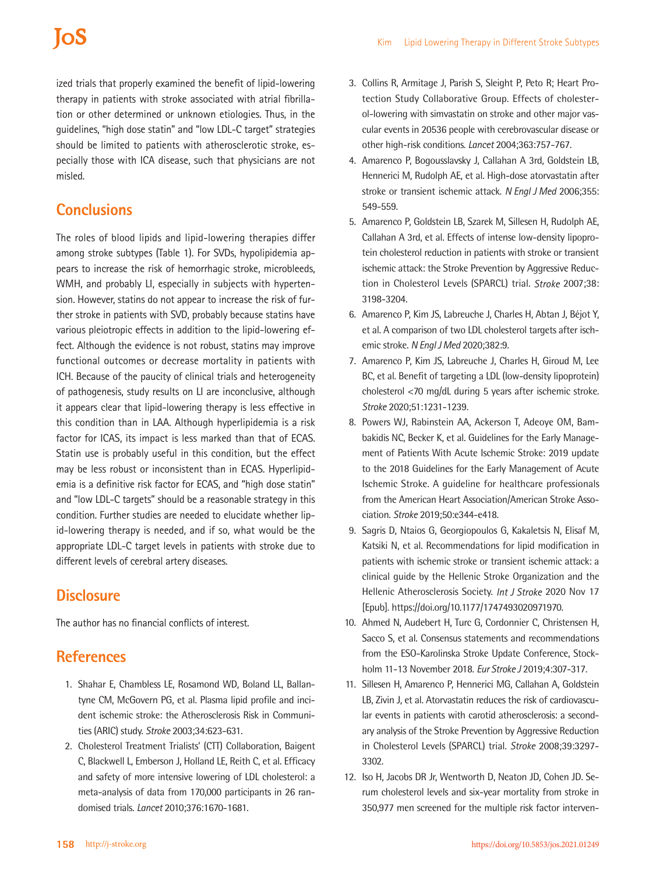ized trials that properly examined the benefit of lipid-lowering therapy in patients with stroke associated with atrial fibrillation or other determined or unknown etiologies. Thus, in the guidelines, "high dose statin" and "low LDL-C target" strategies should be limited to patients with atherosclerotic stroke, especially those with ICA disease, such that physicians are not misled.

# **Conclusions**

The roles of blood lipids and lipid-lowering therapies differ among stroke subtypes (Table 1). For SVDs, hypolipidemia appears to increase the risk of hemorrhagic stroke, microbleeds, WMH, and probably LI, especially in subjects with hypertension. However, statins do not appear to increase the risk of further stroke in patients with SVD, probably because statins have various pleiotropic effects in addition to the lipid-lowering effect. Although the evidence is not robust, statins may improve functional outcomes or decrease mortality in patients with ICH. Because of the paucity of clinical trials and heterogeneity of pathogenesis, study results on LI are inconclusive, although it appears clear that lipid-lowering therapy is less effective in this condition than in LAA. Although hyperlipidemia is a risk factor for ICAS, its impact is less marked than that of ECAS. Statin use is probably useful in this condition, but the effect may be less robust or inconsistent than in ECAS. Hyperlipidemia is a definitive risk factor for ECAS, and "high dose statin" and "low LDL-C targets" should be a reasonable strategy in this condition. Further studies are needed to elucidate whether lipid-lowering therapy is needed, and if so, what would be the appropriate LDL-C target levels in patients with stroke due to different levels of cerebral artery diseases.

## **Disclosure**

The author has no financial conflicts of interest.

# **References**

- 1. Shahar E, Chambless LE, Rosamond WD, Boland LL, Ballantyne CM, McGovern PG, et al. Plasma lipid profile and incident ischemic stroke: the Atherosclerosis Risk in Communities (ARIC) study. *Stroke* 2003;34:623-631.
- 2. Cholesterol Treatment Trialists' (CTT) Collaboration, Baigent C, Blackwell L, Emberson J, Holland LE, Reith C, et al. Efficacy and safety of more intensive lowering of LDL cholesterol: a meta-analysis of data from 170,000 participants in 26 randomised trials. *Lancet* 2010;376:1670-1681.
- 3. Collins R, Armitage J, Parish S, Sleight P, Peto R; Heart Protection Study Collaborative Group. Effects of cholesterol-lowering with simvastatin on stroke and other major vascular events in 20536 people with cerebrovascular disease or other high-risk conditions. *Lancet* 2004;363:757-767.
- 4. Amarenco P, Bogousslavsky J, Callahan A 3rd, Goldstein LB, Hennerici M, Rudolph AE, et al. High-dose atorvastatin after stroke or transient ischemic attack. *N Engl J Med* 2006;355: 549-559.
- 5. Amarenco P, Goldstein LB, Szarek M, Sillesen H, Rudolph AE, Callahan A 3rd, et al. Effects of intense low-density lipoprotein cholesterol reduction in patients with stroke or transient ischemic attack: the Stroke Prevention by Aggressive Reduction in Cholesterol Levels (SPARCL) trial. *Stroke* 2007;38: 3198-3204.
- 6. Amarenco P, Kim JS, Labreuche J, Charles H, Abtan J, Béjot Y, et al. A comparison of two LDL cholesterol targets after ischemic stroke. *N Engl J Med* 2020;382:9.
- 7. Amarenco P, Kim JS, Labreuche J, Charles H, Giroud M, Lee BC, et al. Benefit of targeting a LDL (low-density lipoprotein) cholesterol <70 mg/dL during 5 years after ischemic stroke. *Stroke* 2020;51:1231-1239.
- 8. Powers WJ, Rabinstein AA, Ackerson T, Adeoye OM, Bambakidis NC, Becker K, et al. Guidelines for the Early Management of Patients With Acute Ischemic Stroke: 2019 update to the 2018 Guidelines for the Early Management of Acute Ischemic Stroke. A guideline for healthcare professionals from the American Heart Association/American Stroke Association. *Stroke* 2019;50:e344-e418.
- 9. Sagris D, Ntaios G, Georgiopoulos G, Kakaletsis N, Elisaf M, Katsiki N, et al. Recommendations for lipid modification in patients with ischemic stroke or transient ischemic attack: a clinical guide by the Hellenic Stroke Organization and the Hellenic Atherosclerosis Society. *Int J Stroke* 2020 Nov 17 [Epub]. https://doi.org/10.1177/1747493020971970.
- 10. Ahmed N, Audebert H, Turc G, Cordonnier C, Christensen H, Sacco S, et al. Consensus statements and recommendations from the ESO-Karolinska Stroke Update Conference, Stockholm 11-13 November 2018. *Eur Stroke J* 2019;4:307-317.
- 11. Sillesen H, Amarenco P, Hennerici MG, Callahan A, Goldstein LB, Zivin J, et al. Atorvastatin reduces the risk of cardiovascular events in patients with carotid atherosclerosis: a secondary analysis of the Stroke Prevention by Aggressive Reduction in Cholesterol Levels (SPARCL) trial. *Stroke* 2008;39:3297- 3302.
- 12. Iso H, Jacobs DR Jr, Wentworth D, Neaton JD, Cohen JD. Serum cholesterol levels and six-year mortality from stroke in 350,977 men screened for the multiple risk factor interven-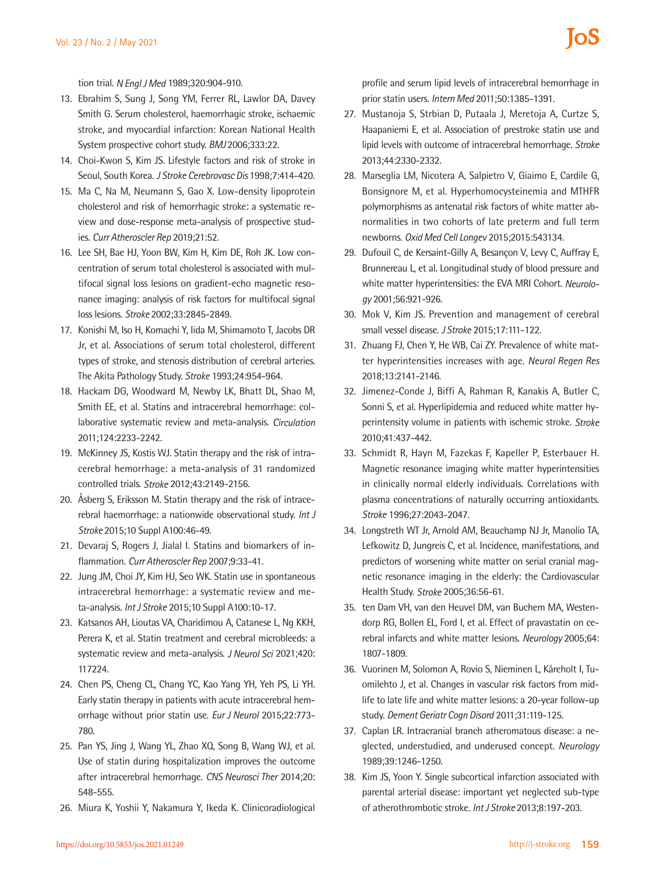tion trial. *N Engl J Med* 1989;320:904-910.

- 13. Ebrahim S, Sung J, Song YM, Ferrer RL, Lawlor DA, Davey Smith G. Serum cholesterol, haemorrhagic stroke, ischaemic stroke, and myocardial infarction: Korean National Health System prospective cohort study. *BMJ* 2006;333:22.
- 14. Choi-Kwon S, Kim JS. Lifestyle factors and risk of stroke in Seoul, South Korea. *J Stroke Cerebrovasc Dis* 1998;7:414-420.
- 15. Ma C, Na M, Neumann S, Gao X. Low-density lipoprotein cholesterol and risk of hemorrhagic stroke: a systematic review and dose-response meta-analysis of prospective studies. *Curr Atheroscler Rep* 2019;21:52.
- 16. Lee SH, Bae HJ, Yoon BW, Kim H, Kim DE, Roh JK. Low concentration of serum total cholesterol is associated with multifocal signal loss lesions on gradient-echo magnetic resonance imaging: analysis of risk factors for multifocal signal loss lesions. *Stroke* 2002;33:2845-2849.
- 17. Konishi M, Iso H, Komachi Y, Iida M, Shimamoto T, Jacobs DR Jr, et al. Associations of serum total cholesterol, different types of stroke, and stenosis distribution of cerebral arteries. The Akita Pathology Study. *Stroke* 1993;24:954-964.
- 18. Hackam DG, Woodward M, Newby LK, Bhatt DL, Shao M, Smith EE, et al. Statins and intracerebral hemorrhage: collaborative systematic review and meta-analysis. *Circulation*  2011;124:2233-2242.
- 19. McKinney JS, Kostis WJ. Statin therapy and the risk of intracerebral hemorrhage: a meta-analysis of 31 randomized controlled trials. *Stroke* 2012;43:2149-2156.
- 20. Åsberg S, Eriksson M. Statin therapy and the risk of intracerebral haemorrhage: a nationwide observational study. *Int J Stroke* 2015;10 Suppl A100:46-49.
- 21. Devaraj S, Rogers J, Jialal I. Statins and biomarkers of inflammation. *Curr Atheroscler Rep* 2007;9:33-41.
- 22. Jung JM, Choi JY, Kim HJ, Seo WK. Statin use in spontaneous intracerebral hemorrhage: a systematic review and meta-analysis. *Int J Stroke* 2015;10 Suppl A100:10-17.
- 23. Katsanos AH, Lioutas VA, Charidimou A, Catanese L, Ng KKH, Perera K, et al. Statin treatment and cerebral microbleeds: a systematic review and meta-analysis. *J Neurol Sci* 2021;420: 117224.
- 24. Chen PS, Cheng CL, Chang YC, Kao Yang YH, Yeh PS, Li YH. Early statin therapy in patients with acute intracerebral hemorrhage without prior statin use. *Eur J Neurol* 2015;22:773- 780.
- 25. Pan YS, Jing J, Wang YL, Zhao XQ, Song B, Wang WJ, et al. Use of statin during hospitalization improves the outcome after intracerebral hemorrhage. *CNS Neurosci Ther* 2014;20: 548-555.
- 26. Miura K, Yoshii Y, Nakamura Y, Ikeda K. Clinicoradiological

profile and serum lipid levels of intracerebral hemorrhage in prior statin users. *Intern Med* 2011;50:1385-1391.

- 27. Mustanoja S, Strbian D, Putaala J, Meretoja A, Curtze S, Haapaniemi E, et al. Association of prestroke statin use and lipid levels with outcome of intracerebral hemorrhage. *Stroke*  2013;44:2330-2332.
- 28. Marseglia LM, Nicotera A, Salpietro V, Giaimo E, Cardile G, Bonsignore M, et al. Hyperhomocysteinemia and MTHFR polymorphisms as antenatal risk factors of white matter abnormalities in two cohorts of late preterm and full term newborns. *Oxid Med Cell Longev* 2015;2015:543134.
- 29. Dufouil C, de Kersaint-Gilly A, Besançon V, Levy C, Auffray E, Brunnereau L, et al. Longitudinal study of blood pressure and white matter hyperintensities: the EVA MRI Cohort. *Neurology* 2001;56:921-926.
- 30. Mok V, Kim JS. Prevention and management of cerebral small vessel disease. *J Stroke* 2015;17:111-122.
- 31. Zhuang FJ, Chen Y, He WB, Cai ZY. Prevalence of white matter hyperintensities increases with age. *Neural Regen Res* 2018;13:2141-2146.
- 32. Jimenez-Conde J, Biffi A, Rahman R, Kanakis A, Butler C, Sonni S, et al. Hyperlipidemia and reduced white matter hyperintensity volume in patients with ischemic stroke. *Stroke* 2010;41:437-442.
- 33. Schmidt R, Hayn M, Fazekas F, Kapeller P, Esterbauer H. Magnetic resonance imaging white matter hyperintensities in clinically normal elderly individuals. Correlations with plasma concentrations of naturally occurring antioxidants. *Stroke* 1996;27:2043-2047.
- 34. Longstreth WT Jr, Arnold AM, Beauchamp NJ Jr, Manolio TA, Lefkowitz D, Jungreis C, et al. Incidence, manifestations, and predictors of worsening white matter on serial cranial magnetic resonance imaging in the elderly: the Cardiovascular Health Study. *Stroke* 2005;36:56-61.
- 35. ten Dam VH, van den Heuvel DM, van Buchem MA, Westendorp RG, Bollen EL, Ford I, et al. Effect of pravastatin on cerebral infarcts and white matter lesions. *Neurology* 2005;64: 1807-1809.
- 36. Vuorinen M, Solomon A, Rovio S, Nieminen L, Kåreholt I, Tuomilehto J, et al. Changes in vascular risk factors from midlife to late life and white matter lesions: a 20-year follow-up study. *Dement Geriatr Cogn Disord* 2011;31:119-125.
- 37. Caplan LR. Intracranial branch atheromatous disease: a neglected, understudied, and underused concept. *Neurology* 1989;39:1246-1250.
- 38. Kim JS, Yoon Y. Single subcortical infarction associated with parental arterial disease: important yet neglected sub-type of atherothrombotic stroke. *Int J Stroke* 2013;8:197-203.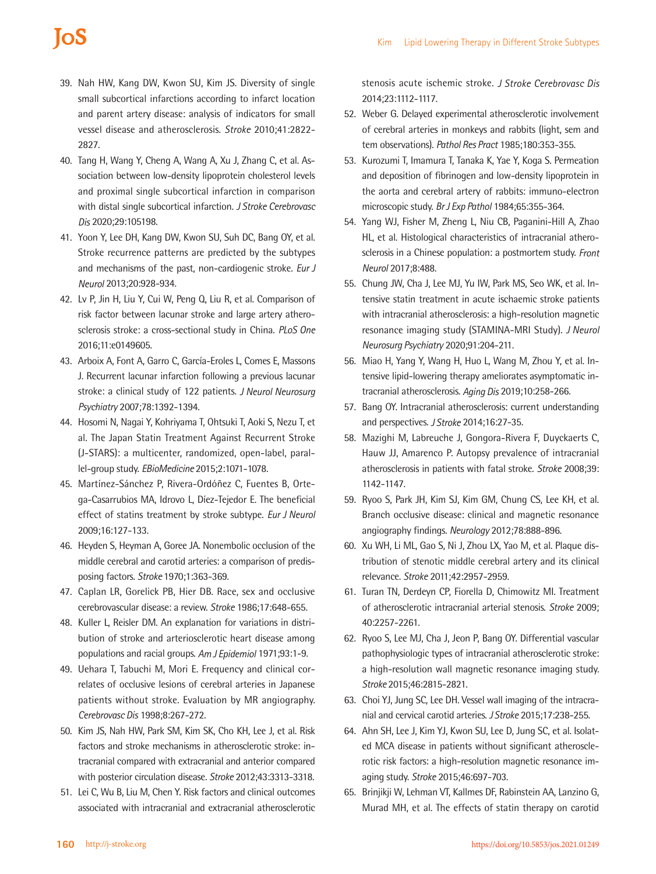# **IoS**

- 39. Nah HW, Kang DW, Kwon SU, Kim JS. Diversity of single small subcortical infarctions according to infarct location and parent artery disease: analysis of indicators for small vessel disease and atherosclerosis. *Stroke* 2010;41:2822- 2827.
- 40. Tang H, Wang Y, Cheng A, Wang A, Xu J, Zhang C, et al. Association between low-density lipoprotein cholesterol levels and proximal single subcortical infarction in comparison with distal single subcortical infarction. *J Stroke Cerebrovasc Dis* 2020;29:105198.
- 41. Yoon Y, Lee DH, Kang DW, Kwon SU, Suh DC, Bang OY, et al. Stroke recurrence patterns are predicted by the subtypes and mechanisms of the past, non-cardiogenic stroke. *Eur J Neurol* 2013;20:928-934.
- 42. Lv P, Jin H, Liu Y, Cui W, Peng Q, Liu R, et al. Comparison of risk factor between lacunar stroke and large artery atherosclerosis stroke: a cross-sectional study in China. *PLoS One*  2016;11:e0149605.
- 43. Arboix A, Font A, Garro C, García-Eroles L, Comes E, Massons J. Recurrent lacunar infarction following a previous lacunar stroke: a clinical study of 122 patients. *J Neurol Neurosurg Psychiatry* 2007;78:1392-1394.
- 44. Hosomi N, Nagai Y, Kohriyama T, Ohtsuki T, Aoki S, Nezu T, et al. The Japan Statin Treatment Against Recurrent Stroke (J-STARS): a multicenter, randomized, open-label, parallel-group study. *EBioMedicine* 2015;2:1071-1078.
- 45. Martínez-Sánchez P, Rivera-Ordóñez C, Fuentes B, Ortega-Casarrubios MA, Idrovo L, Díez-Tejedor E. The beneficial effect of statins treatment by stroke subtype. *Eur J Neurol*  2009;16:127-133.
- 46. Heyden S, Heyman A, Goree JA. Nonembolic occlusion of the middle cerebral and carotid arteries: a comparison of predisposing factors. *Stroke* 1970;1:363-369.
- 47. Caplan LR, Gorelick PB, Hier DB. Race, sex and occlusive cerebrovascular disease: a review. *Stroke* 1986;17:648-655.
- 48. Kuller L, Reisler DM. An explanation for variations in distribution of stroke and arteriosclerotic heart disease among populations and racial groups. *Am J Epidemiol* 1971;93:1-9.
- 49. Uehara T, Tabuchi M, Mori E. Frequency and clinical correlates of occlusive lesions of cerebral arteries in Japanese patients without stroke. Evaluation by MR angiography. *Cerebrovasc Dis* 1998;8:267-272.
- 50. Kim JS, Nah HW, Park SM, Kim SK, Cho KH, Lee J, et al. Risk factors and stroke mechanisms in atherosclerotic stroke: intracranial compared with extracranial and anterior compared with posterior circulation disease. *Stroke* 2012;43:3313-3318.
- 51. Lei C, Wu B, Liu M, Chen Y. Risk factors and clinical outcomes associated with intracranial and extracranial atherosclerotic

stenosis acute ischemic stroke. *J Stroke Cerebrovasc Dis* 2014;23:1112-1117.

- 52. Weber G. Delayed experimental atherosclerotic involvement of cerebral arteries in monkeys and rabbits (light, sem and tem observations). *Pathol Res Pract* 1985;180:353-355.
- 53. Kurozumi T, Imamura T, Tanaka K, Yae Y, Koga S. Permeation and deposition of fibrinogen and low-density lipoprotein in the aorta and cerebral artery of rabbits: immuno-electron microscopic study. *Br J Exp Pathol* 1984;65:355-364.
- 54. Yang WJ, Fisher M, Zheng L, Niu CB, Paganini-Hill A, Zhao HL, et al. Histological characteristics of intracranial atherosclerosis in a Chinese population: a postmortem study. *Front Neurol* 2017;8:488.
- 55. Chung JW, Cha J, Lee MJ, Yu IW, Park MS, Seo WK, et al. Intensive statin treatment in acute ischaemic stroke patients with intracranial atherosclerosis: a high-resolution magnetic resonance imaging study (STAMINA-MRI Study). *J Neurol Neurosurg Psychiatry* 2020;91:204-211.
- 56. Miao H, Yang Y, Wang H, Huo L, Wang M, Zhou Y, et al. Intensive lipid-lowering therapy ameliorates asymptomatic intracranial atherosclerosis. *Aging Dis* 2019;10:258-266.
- 57. Bang OY. Intracranial atherosclerosis: current understanding and perspectives. *J Stroke* 2014;16:27-35.
- 58. Mazighi M, Labreuche J, Gongora-Rivera F, Duyckaerts C, Hauw JJ, Amarenco P. Autopsy prevalence of intracranial atherosclerosis in patients with fatal stroke. *Stroke* 2008;39: 1142-1147.
- 59. Ryoo S, Park JH, Kim SJ, Kim GM, Chung CS, Lee KH, et al. Branch occlusive disease: clinical and magnetic resonance angiography findings. *Neurology* 2012;78:888-896.
- 60. Xu WH, Li ML, Gao S, Ni J, Zhou LX, Yao M, et al. Plaque distribution of stenotic middle cerebral artery and its clinical relevance. *Stroke* 2011;42:2957-2959.
- 61. Turan TN, Derdeyn CP, Fiorella D, Chimowitz MI. Treatment of atherosclerotic intracranial arterial stenosis. *Stroke* 2009; 40:2257-2261.
- 62. Ryoo S, Lee MJ, Cha J, Jeon P, Bang OY. Differential vascular pathophysiologic types of intracranial atherosclerotic stroke: a high-resolution wall magnetic resonance imaging study. *Stroke* 2015;46:2815-2821.
- 63. Choi YJ, Jung SC, Lee DH. Vessel wall imaging of the intracranial and cervical carotid arteries. *J Stroke* 2015;17:238-255.
- 64. Ahn SH, Lee J, Kim YJ, Kwon SU, Lee D, Jung SC, et al. Isolated MCA disease in patients without significant atherosclerotic risk factors: a high-resolution magnetic resonance imaging study. *Stroke* 2015;46:697-703.
- 65. Brinjikji W, Lehman VT, Kallmes DF, Rabinstein AA, Lanzino G, Murad MH, et al. The effects of statin therapy on carotid